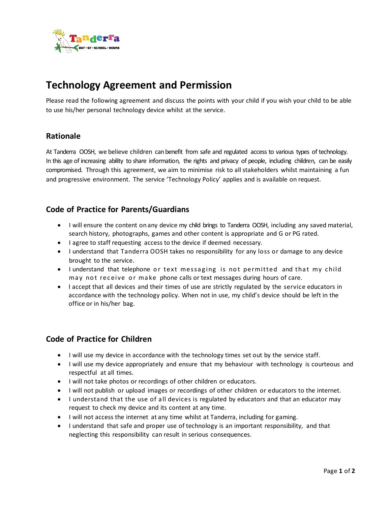

# **Technology Agreement and Permission**

Please read the following agreement and discuss the points with your child if you wish your child to be able to use his/her personal technology device whilst at the service.

#### **Rationale**

At Tanderra OOSH, we believe children can benefit from safe and regulated access to various types of technology. In this age of increasing ability to share information, the rights and privacy of people, including children, can be easily compromised. Through this agreement, we aim to minimise risk to all stakeholders whilst maintaining a fun and progressive environment. The service 'Technology Policy' applies and is available on request.

#### **Code of Practice for Parents/Guardians**

- I will ensure the content on any device my child brings to Tanderra OOSH, including any saved material, search history, photographs, games and other content is appropriate and G or PG rated.
- I agree to staff requesting access to the device if deemed necessary.
- I understand that Tanderra OOSH takes no responsibility for any loss or damage to any device brought to the service.
- I understand that telephone or text messaging is not permitted and that my child may not receive or make phone calls or text messages during hours of care.
- I accept that all devices and their times of use are strictly regulated by the service educators in accordance with the technology policy. When not in use, my child's device should be left in the office or in his/her bag.

### **Code of Practice for Children**

- I will use my device in accordance with the technology times set out by the service staff.
- I will use my device appropriately and ensure that my behaviour with technology is courteous and respectful at all times.
- I will not take photos or recordings of other children or educators.
- I will not publish or upload images or recordings of other children or educators to the internet.
- I understand that the use of all devices is regulated by educators and that an educator may request to check my device and its content at any time.
- I will not access the internet at any time whilst at Tanderra, including for gaming.
- I understand that safe and proper use of technology is an important responsibility, and that neglecting this responsibility can result in serious consequences.